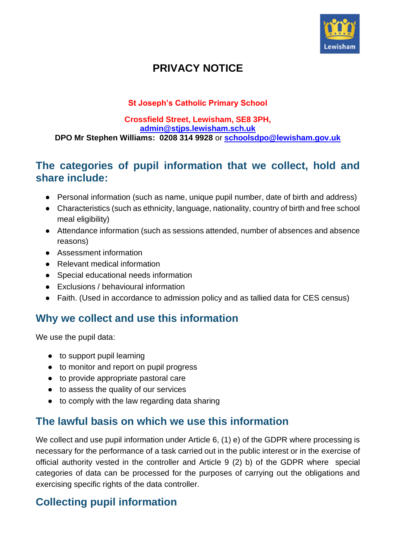

## **PRIVACY NOTICE**

#### **St Joseph's Catholic Primary School**

#### **Crossfield Street, Lewisham, SE8 3PH, [admin@stjps.lewisham.sch.uk](mailto:admin@stjps.lewisham.sch.uk) DPO Mr Stephen Williams: 0208 314 9928** or **[schoolsdpo@lewisham.gov.uk](mailto:schoolsdpo@lewisham.gov.uk)**

#### **The categories of pupil information that we collect, hold and share include:**

- Personal information (such as name, unique pupil number, date of birth and address)
- Characteristics (such as ethnicity, language, nationality, country of birth and free school meal eligibility)
- Attendance information (such as sessions attended, number of absences and absence reasons)
- Assessment information
- Relevant medical information
- Special educational needs information
- Exclusions / behavioural information
- Faith. (Used in accordance to admission policy and as tallied data for CES census)

## **Why we collect and use this information**

We use the pupil data:

- to support pupil learning
- to monitor and report on pupil progress
- to provide appropriate pastoral care
- to assess the quality of our services
- to comply with the law regarding data sharing

## **The lawful basis on which we use this information**

We collect and use pupil information under Article 6, (1) e) of the GDPR where processing is necessary for the performance of a task carried out in the public interest or in the exercise of official authority vested in the controller and Article 9 (2) b) of the GDPR where special categories of data can be processed for the purposes of carrying out the obligations and exercising specific rights of the data controller.

## **Collecting pupil information**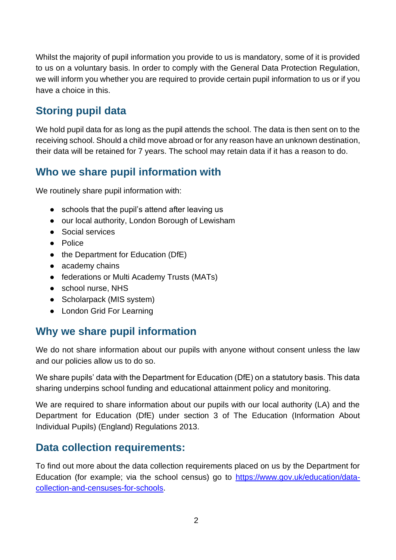Whilst the majority of pupil information you provide to us is mandatory, some of it is provided to us on a voluntary basis. In order to comply with the General Data Protection Regulation, we will inform you whether you are required to provide certain pupil information to us or if you have a choice in this.

## **Storing pupil data**

We hold pupil data for as long as the pupil attends the school. The data is then sent on to the receiving school. Should a child move abroad or for any reason have an unknown destination, their data will be retained for 7 years. The school may retain data if it has a reason to do.

## **Who we share pupil information with**

We routinely share pupil information with:

- schools that the pupil's attend after leaving us
- our local authority, London Borough of Lewisham
- Social services
- Police
- the Department for Education (DfE)
- academy chains
- federations or Multi Academy Trusts (MATs)
- school nurse, NHS
- Scholarpack (MIS system)
- London Grid For Learning

## **Why we share pupil information**

We do not share information about our pupils with anyone without consent unless the law and our policies allow us to do so.

We share pupils' data with the Department for Education (DfE) on a statutory basis. This data sharing underpins school funding and educational attainment policy and monitoring.

We are required to share information about our pupils with our local authority (LA) and the Department for Education (DfE) under section 3 of The Education (Information About Individual Pupils) (England) Regulations 2013.

#### **Data collection requirements:**

To find out more about the data collection requirements placed on us by the Department for Education (for example; via the school census) go to [https://www.gov.uk/education/data](https://www.gov.uk/education/data-collection-and-censuses-for-schools)[collection-and-censuses-for-schools.](https://www.gov.uk/education/data-collection-and-censuses-for-schools)